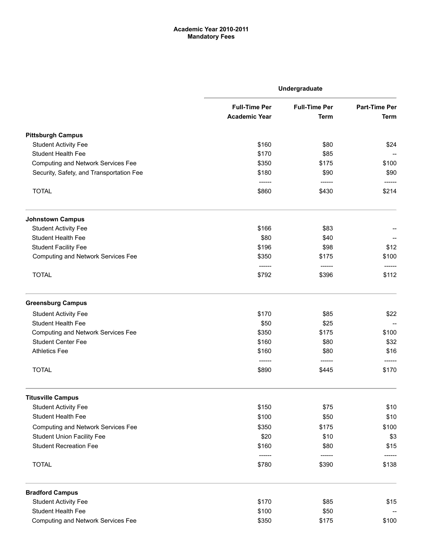# Academic Year 2010-2011 Mandatory Fees

|                                           | Undergraduate                                |                                     |                                     |
|-------------------------------------------|----------------------------------------------|-------------------------------------|-------------------------------------|
|                                           | <b>Full-Time Per</b><br><b>Academic Year</b> | <b>Full-Time Per</b><br><b>Term</b> | <b>Part-Time Per</b><br><b>Term</b> |
| <b>Pittsburgh Campus</b>                  |                                              |                                     |                                     |
| <b>Student Activity Fee</b>               | \$160                                        | \$80                                | \$24                                |
| <b>Student Health Fee</b>                 | \$170                                        | \$85                                |                                     |
| <b>Computing and Network Services Fee</b> | \$350                                        | \$175                               | \$100                               |
| Security, Safety, and Transportation Fee  | \$180                                        | \$90                                | \$90                                |
| <b>TOTAL</b>                              | -------<br>\$860                             | \$430                               | \$214                               |
| <b>Johnstown Campus</b>                   |                                              |                                     |                                     |
| <b>Student Activity Fee</b>               | \$166                                        | \$83                                |                                     |
| <b>Student Health Fee</b>                 | \$80                                         | \$40                                |                                     |
| <b>Student Facility Fee</b>               | \$196                                        | \$98                                | \$12                                |
| <b>Computing and Network Services Fee</b> | \$350<br>------                              | \$175<br>------                     | \$100                               |
| <b>TOTAL</b>                              | \$792                                        | \$396                               | \$112                               |
| <b>Greensburg Campus</b>                  |                                              |                                     |                                     |
| <b>Student Activity Fee</b>               | \$170                                        | \$85                                | \$22                                |
| <b>Student Health Fee</b>                 | \$50                                         | \$25                                |                                     |
| <b>Computing and Network Services Fee</b> | \$350                                        | \$175                               | \$100                               |
| <b>Student Center Fee</b>                 | \$160                                        | \$80                                | \$32                                |
| <b>Athletics Fee</b>                      | \$160                                        | \$80<br>-------                     | \$16                                |
| <b>TOTAL</b>                              | \$890                                        | \$445                               | \$170                               |
| <b>Titusville Campus</b>                  |                                              |                                     |                                     |
| <b>Student Activity Fee</b>               | \$150                                        | \$75                                | \$10                                |
| <b>Student Health Fee</b>                 | \$100                                        | \$50                                | \$10                                |
| <b>Computing and Network Services Fee</b> | \$350                                        | \$175                               | \$100                               |
| <b>Student Union Facility Fee</b>         | \$20                                         | \$10                                | \$3                                 |
| <b>Student Recreation Fee</b>             | \$160                                        | \$80                                | \$15                                |
| <b>TOTAL</b>                              | \$780                                        | \$390                               | \$138                               |
| <b>Bradford Campus</b>                    |                                              |                                     |                                     |
| <b>Student Activity Fee</b>               | \$170                                        | \$85                                | \$15                                |
| Student Health Fee                        | \$100                                        | \$50                                |                                     |
| <b>Computing and Network Services Fee</b> | \$350                                        | \$175                               | \$100                               |